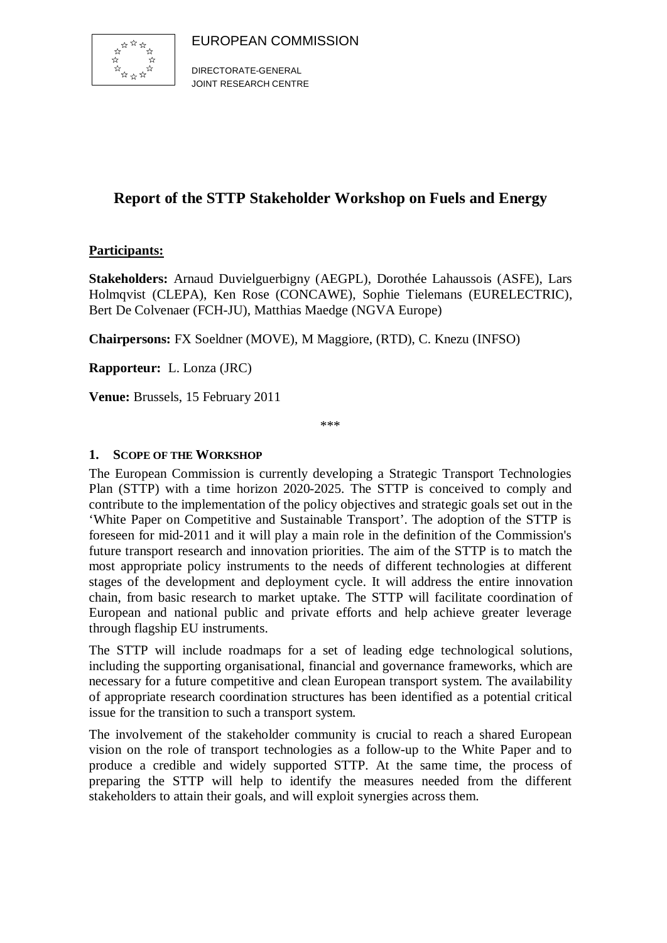

DIRECTORATE-GENERAL JOINT RESEARCH CENTRE

# **Report of the STTP Stakeholder Workshop on Fuels and Energy**

### **Participants:**

**Stakeholders:** Arnaud Duvielguerbigny (AEGPL), Dorothée Lahaussois (ASFE), Lars Holmqvist (CLEPA), Ken Rose (CONCAWE), Sophie Tielemans (EURELECTRIC), Bert De Colvenaer (FCH-JU), Matthias Maedge (NGVA Europe)

**Chairpersons:** FX Soeldner (MOVE), M Maggiore, (RTD), C. Knezu (INFSO)

**Rapporteur:** L. Lonza (JRC)

**Venue:** Brussels, 15 February 2011

\*\*\*

#### **1. SCOPE OF THE WORKSHOP**

The European Commission is currently developing a Strategic Transport Technologies Plan (STTP) with a time horizon 2020-2025. The STTP is conceived to comply and contribute to the implementation of the policy objectives and strategic goals set out in the 'White Paper on Competitive and Sustainable Transport'. The adoption of the STTP is foreseen for mid-2011 and it will play a main role in the definition of the Commission's future transport research and innovation priorities. The aim of the STTP is to match the most appropriate policy instruments to the needs of different technologies at different stages of the development and deployment cycle. It will address the entire innovation chain, from basic research to market uptake. The STTP will facilitate coordination of European and national public and private efforts and help achieve greater leverage through flagship EU instruments.

The STTP will include roadmaps for a set of leading edge technological solutions, including the supporting organisational, financial and governance frameworks, which are necessary for a future competitive and clean European transport system. The availability of appropriate research coordination structures has been identified as a potential critical issue for the transition to such a transport system.

The involvement of the stakeholder community is crucial to reach a shared European vision on the role of transport technologies as a follow-up to the White Paper and to produce a credible and widely supported STTP. At the same time, the process of preparing the STTP will help to identify the measures needed from the different stakeholders to attain their goals, and will exploit synergies across them.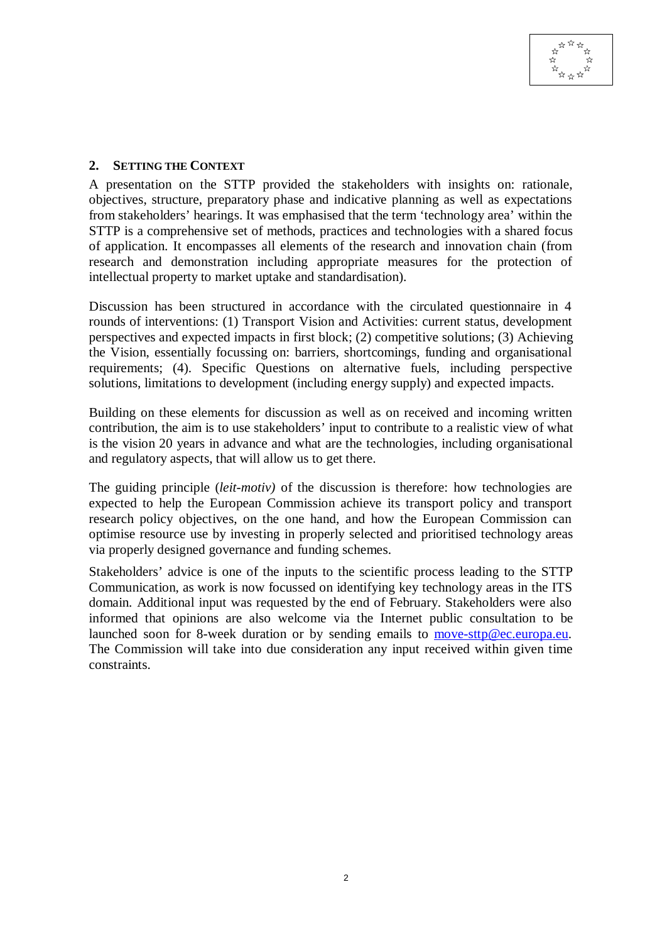#### **2. SETTING THE CONTEXT**

A presentation on the STTP provided the stakeholders with insights on: rationale, objectives, structure, preparatory phase and indicative planning as well as expectations from stakeholders' hearings. It was emphasised that the term 'technology area' within the STTP is a comprehensive set of methods, practices and technologies with a shared focus of application. It encompasses all elements of the research and innovation chain (from research and demonstration including appropriate measures for the protection of intellectual property to market uptake and standardisation).

Discussion has been structured in accordance with the circulated questionnaire in 4 rounds of interventions: (1) Transport Vision and Activities: current status, development perspectives and expected impacts in first block; (2) competitive solutions; (3) Achieving the Vision, essentially focussing on: barriers, shortcomings, funding and organisational requirements; (4). Specific Questions on alternative fuels, including perspective solutions, limitations to development (including energy supply) and expected impacts.

Building on these elements for discussion as well as on received and incoming written contribution, the aim is to use stakeholders' input to contribute to a realistic view of what is the vision 20 years in advance and what are the technologies, including organisational and regulatory aspects, that will allow us to get there.

The guiding principle (*leit-motiv)* of the discussion is therefore: how technologies are expected to help the European Commission achieve its transport policy and transport research policy objectives, on the one hand, and how the European Commission can optimise resource use by investing in properly selected and prioritised technology areas via properly designed governance and funding schemes.

Stakeholders' advice is one of the inputs to the scientific process leading to the STTP Communication, as work is now focussed on identifying key technology areas in the ITS domain. Additional input was requested by the end of February. Stakeholders were also informed that opinions are also welcome via the Internet public consultation to be launched soon for 8-week duration or by sending emails to move-sttp@ec.europa.eu. The Commission will take into due consideration any input received within given time constraints.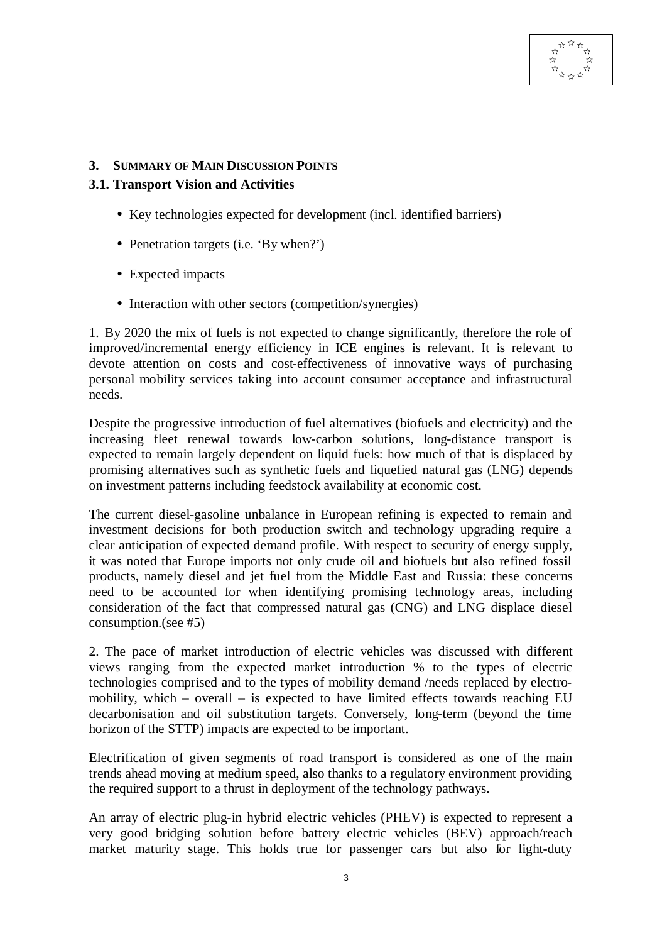

#### **3. SUMMARY OF MAIN DISCUSSION POINTS**

#### **3.1. Transport Vision and Activities**

- Key technologies expected for development (incl. identified barriers)
- Penetration targets (i.e. 'By when?')
- Expected impacts
- Interaction with other sectors (competition/synergies)

1. By 2020 the mix of fuels is not expected to change significantly, therefore the role of improved/incremental energy efficiency in ICE engines is relevant. It is relevant to devote attention on costs and cost-effectiveness of innovative ways of purchasing personal mobility services taking into account consumer acceptance and infrastructural needs.

Despite the progressive introduction of fuel alternatives (biofuels and electricity) and the increasing fleet renewal towards low-carbon solutions, long-distance transport is expected to remain largely dependent on liquid fuels: how much of that is displaced by promising alternatives such as synthetic fuels and liquefied natural gas (LNG) depends on investment patterns including feedstock availability at economic cost.

The current diesel-gasoline unbalance in European refining is expected to remain and investment decisions for both production switch and technology upgrading require a clear anticipation of expected demand profile. With respect to security of energy supply, it was noted that Europe imports not only crude oil and biofuels but also refined fossil products, namely diesel and jet fuel from the Middle East and Russia: these concerns need to be accounted for when identifying promising technology areas, including consideration of the fact that compressed natural gas (CNG) and LNG displace diesel consumption.(see #5)

2. The pace of market introduction of electric vehicles was discussed with different views ranging from the expected market introduction % to the types of electric technologies comprised and to the types of mobility demand /needs replaced by electromobility, which – overall – is expected to have limited effects towards reaching EU decarbonisation and oil substitution targets. Conversely, long-term (beyond the time horizon of the STTP) impacts are expected to be important.

Electrification of given segments of road transport is considered as one of the main trends ahead moving at medium speed, also thanks to a regulatory environment providing the required support to a thrust in deployment of the technology pathways.

An array of electric plug-in hybrid electric vehicles (PHEV) is expected to represent a very good bridging solution before battery electric vehicles (BEV) approach/reach market maturity stage. This holds true for passenger cars but also for light-duty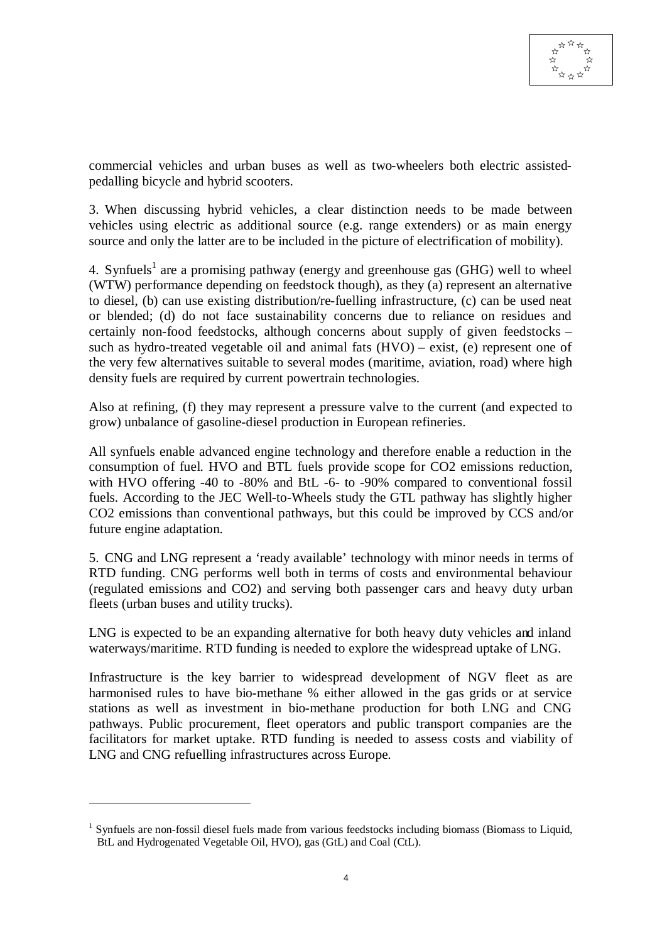commercial vehicles and urban buses as well as two-wheelers both electric assistedpedalling bicycle and hybrid scooters.

3. When discussing hybrid vehicles, a clear distinction needs to be made between vehicles using electric as additional source (e.g. range extenders) or as main energy source and only the latter are to be included in the picture of electrification of mobility).

4. Synfuels<sup>1</sup> are a promising pathway (energy and greenhouse gas (GHG) well to wheel (WTW) performance depending on feedstock though), as they (a) represent an alternative to diesel, (b) can use existing distribution/re-fuelling infrastructure, (c) can be used neat or blended; (d) do not face sustainability concerns due to reliance on residues and certainly non-food feedstocks, although concerns about supply of given feedstocks – such as hydro-treated vegetable oil and animal fats (HVO) – exist, (e) represent one of the very few alternatives suitable to several modes (maritime, aviation, road) where high density fuels are required by current powertrain technologies.

Also at refining, (f) they may represent a pressure valve to the current (and expected to grow) unbalance of gasoline-diesel production in European refineries.

All synfuels enable advanced engine technology and therefore enable a reduction in the consumption of fuel. HVO and BTL fuels provide scope for CO2 emissions reduction, with HVO offering -40 to -80% and BtL -6- to -90% compared to conventional fossil fuels. According to the JEC Well-to-Wheels study the GTL pathway has slightly higher CO2 emissions than conventional pathways, but this could be improved by CCS and/or future engine adaptation.

5. CNG and LNG represent a 'ready available' technology with minor needs in terms of RTD funding. CNG performs well both in terms of costs and environmental behaviour (regulated emissions and CO2) and serving both passenger cars and heavy duty urban fleets (urban buses and utility trucks).

LNG is expected to be an expanding alternative for both heavy duty vehicles and inland waterways/maritime. RTD funding is needed to explore the widespread uptake of LNG.

Infrastructure is the key barrier to widespread development of NGV fleet as are harmonised rules to have bio-methane % either allowed in the gas grids or at service stations as well as investment in bio-methane production for both LNG and CNG pathways. Public procurement, fleet operators and public transport companies are the facilitators for market uptake. RTD funding is needed to assess costs and viability of LNG and CNG refuelling infrastructures across Europe.

 $\overline{a}$ 

<sup>&</sup>lt;sup>1</sup> Synfuels are non-fossil diesel fuels made from various feedstocks including biomass (Biomass to Liquid, BtL and Hydrogenated Vegetable Oil, HVO), gas (GtL) and Coal (CtL).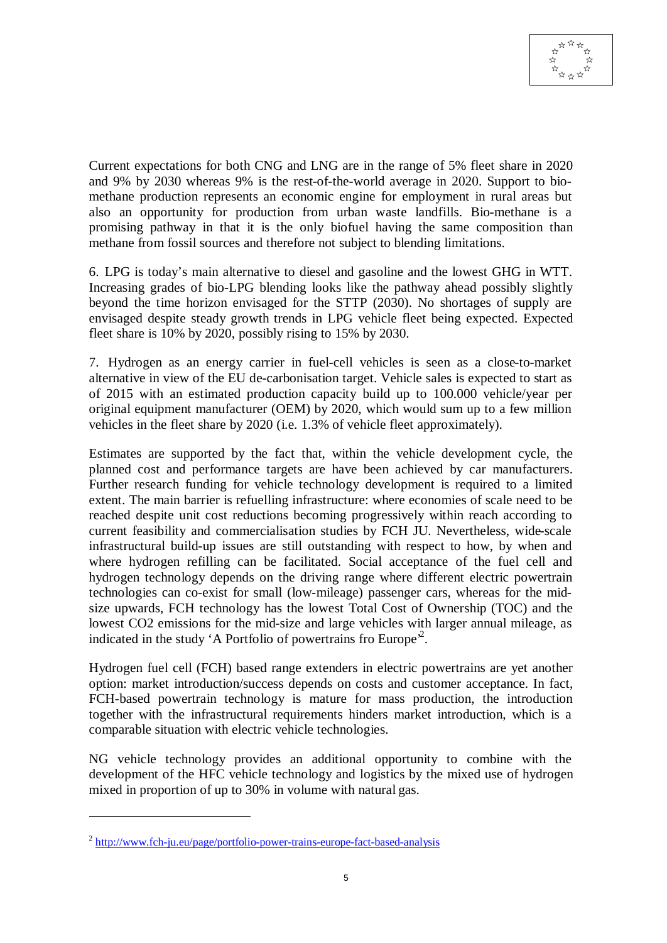

Current expectations for both CNG and LNG are in the range of 5% fleet share in 2020 and 9% by 2030 whereas 9% is the rest-of-the-world average in 2020. Support to biomethane production represents an economic engine for employment in rural areas but also an opportunity for production from urban waste landfills. Bio-methane is a promising pathway in that it is the only biofuel having the same composition than methane from fossil sources and therefore not subject to blending limitations.

6. LPG is today's main alternative to diesel and gasoline and the lowest GHG in WTT. Increasing grades of bio-LPG blending looks like the pathway ahead possibly slightly beyond the time horizon envisaged for the STTP (2030). No shortages of supply are envisaged despite steady growth trends in LPG vehicle fleet being expected. Expected fleet share is 10% by 2020, possibly rising to 15% by 2030.

7. Hydrogen as an energy carrier in fuel-cell vehicles is seen as a close-to-market alternative in view of the EU de-carbonisation target. Vehicle sales is expected to start as of 2015 with an estimated production capacity build up to 100.000 vehicle/year per original equipment manufacturer (OEM) by 2020, which would sum up to a few million vehicles in the fleet share by 2020 (i.e. 1.3% of vehicle fleet approximately).

Estimates are supported by the fact that, within the vehicle development cycle, the planned cost and performance targets are have been achieved by car manufacturers. Further research funding for vehicle technology development is required to a limited extent. The main barrier is refuelling infrastructure: where economies of scale need to be reached despite unit cost reductions becoming progressively within reach according to current feasibility and commercialisation studies by FCH JU. Nevertheless, wide-scale infrastructural build-up issues are still outstanding with respect to how, by when and where hydrogen refilling can be facilitated. Social acceptance of the fuel cell and hydrogen technology depends on the driving range where different electric powertrain technologies can co-exist for small (low-mileage) passenger cars, whereas for the midsize upwards, FCH technology has the lowest Total Cost of Ownership (TOC) and the lowest CO2 emissions for the mid-size and large vehicles with larger annual mileage, as indicated in the study 'A Portfolio of powertrains fro Europe<sup>2</sup>.

Hydrogen fuel cell (FCH) based range extenders in electric powertrains are yet another option: market introduction/success depends on costs and customer acceptance. In fact, FCH-based powertrain technology is mature for mass production, the introduction together with the infrastructural requirements hinders market introduction, which is a comparable situation with electric vehicle technologies.

NG vehicle technology provides an additional opportunity to combine with the development of the HFC vehicle technology and logistics by the mixed use of hydrogen mixed in proportion of up to 30% in volume with natural gas.

 $\overline{a}$ 

<sup>&</sup>lt;sup>2</sup> http://www.fch-ju.eu/page/portfolio-power-trains-europe-fact-based-analysis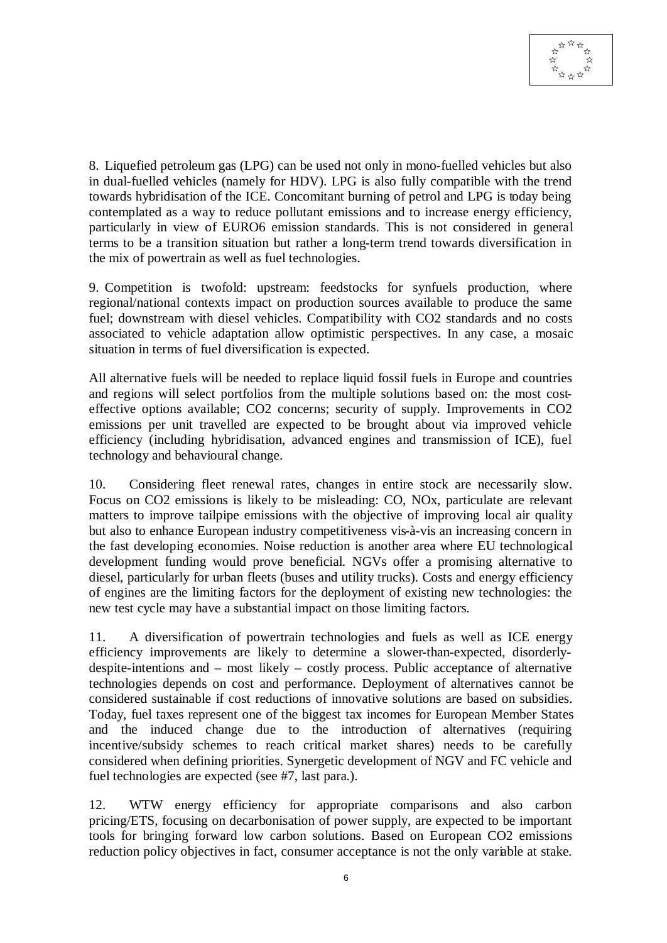

8. Liquefied petroleum gas (LPG) can be used not only in mono-fuelled vehicles but also in dual-fuelled vehicles (namely for HDV). LPG is also fully compatible with the trend towards hybridisation of the ICE. Concomitant burning of petrol and LPG is today being contemplated as a way to reduce pollutant emissions and to increase energy efficiency, particularly in view of EURO6 emission standards. This is not considered in general terms to be a transition situation but rather a long-term trend towards diversification in the mix of powertrain as well as fuel technologies.

9. Competition is twofold: upstream: feedstocks for synfuels production, where regional/national contexts impact on production sources available to produce the same fuel; downstream with diesel vehicles. Compatibility with CO2 standards and no costs associated to vehicle adaptation allow optimistic perspectives. In any case, a mosaic situation in terms of fuel diversification is expected.

All alternative fuels will be needed to replace liquid fossil fuels in Europe and countries and regions will select portfolios from the multiple solutions based on: the most costeffective options available; CO2 concerns; security of supply. Improvements in CO2 emissions per unit travelled are expected to be brought about via improved vehicle efficiency (including hybridisation, advanced engines and transmission of ICE), fuel technology and behavioural change.

10. Considering fleet renewal rates, changes in entire stock are necessarily slow. Focus on CO2 emissions is likely to be misleading: CO, NOx, particulate are relevant matters to improve tailpipe emissions with the objective of improving local air quality but also to enhance European industry competitiveness vis-à-vis an increasing concern in the fast developing economies. Noise reduction is another area where EU technological development funding would prove beneficial. NGVs offer a promising alternative to diesel, particularly for urban fleets (buses and utility trucks). Costs and energy efficiency of engines are the limiting factors for the deployment of existing new technologies: the new test cycle may have a substantial impact on those limiting factors.

11. A diversification of powertrain technologies and fuels as well as ICE energy efficiency improvements are likely to determine a slower-than-expected, disorderlydespite-intentions and – most likely – costly process. Public acceptance of alternative technologies depends on cost and performance. Deployment of alternatives cannot be considered sustainable if cost reductions of innovative solutions are based on subsidies. Today, fuel taxes represent one of the biggest tax incomes for European Member States and the induced change due to the introduction of alternatives (requiring incentive/subsidy schemes to reach critical market shares) needs to be carefully considered when defining priorities. Synergetic development of NGV and FC vehicle and fuel technologies are expected (see #7, last para.).

12. WTW energy efficiency for appropriate comparisons and also carbon pricing/ETS, focusing on decarbonisation of power supply, are expected to be important tools for bringing forward low carbon solutions. Based on European CO2 emissions reduction policy objectives in fact, consumer acceptance is not the only variable at stake.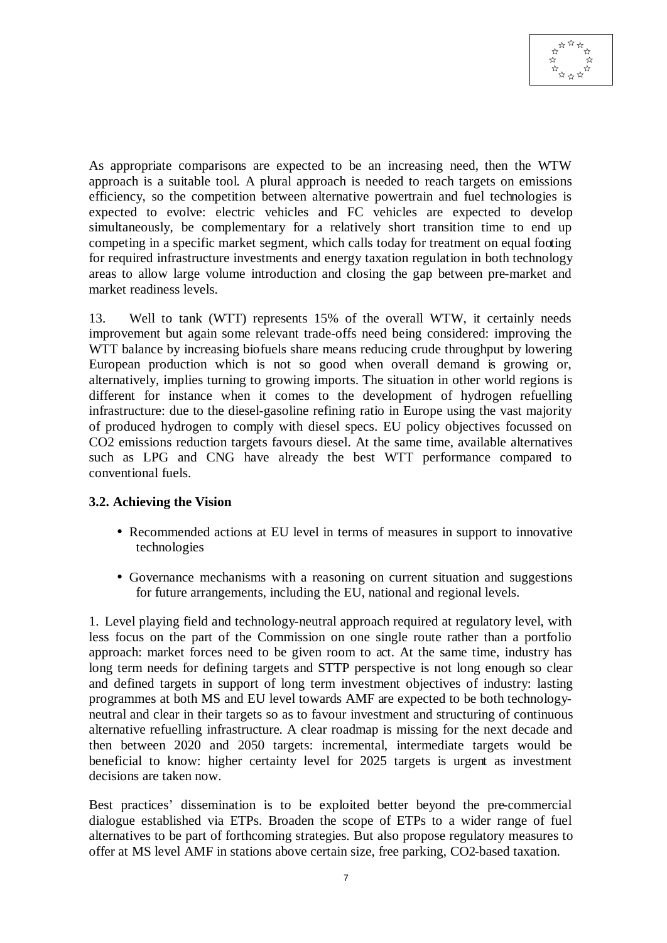

As appropriate comparisons are expected to be an increasing need, then the WTW approach is a suitable tool. A plural approach is needed to reach targets on emissions efficiency, so the competition between alternative powertrain and fuel technologies is expected to evolve: electric vehicles and FC vehicles are expected to develop simultaneously, be complementary for a relatively short transition time to end up competing in a specific market segment, which calls today for treatment on equal footing for required infrastructure investments and energy taxation regulation in both technology areas to allow large volume introduction and closing the gap between pre-market and market readiness levels.

13. Well to tank (WTT) represents 15% of the overall WTW, it certainly needs improvement but again some relevant trade-offs need being considered: improving the WTT balance by increasing biofuels share means reducing crude throughput by lowering European production which is not so good when overall demand is growing or, alternatively, implies turning to growing imports. The situation in other world regions is different for instance when it comes to the development of hydrogen refuelling infrastructure: due to the diesel-gasoline refining ratio in Europe using the vast majority of produced hydrogen to comply with diesel specs. EU policy objectives focussed on CO2 emissions reduction targets favours diesel. At the same time, available alternatives such as LPG and CNG have already the best WTT performance compared to conventional fuels.

#### **3.2. Achieving the Vision**

- Recommended actions at EU level in terms of measures in support to innovative technologies
- Governance mechanisms with a reasoning on current situation and suggestions for future arrangements, including the EU, national and regional levels.

1. Level playing field and technology-neutral approach required at regulatory level, with less focus on the part of the Commission on one single route rather than a portfolio approach: market forces need to be given room to act. At the same time, industry has long term needs for defining targets and STTP perspective is not long enough so clear and defined targets in support of long term investment objectives of industry: lasting programmes at both MS and EU level towards AMF are expected to be both technologyneutral and clear in their targets so as to favour investment and structuring of continuous alternative refuelling infrastructure. A clear roadmap is missing for the next decade and then between 2020 and 2050 targets: incremental, intermediate targets would be beneficial to know: higher certainty level for 2025 targets is urgent as investment decisions are taken now.

Best practices' dissemination is to be exploited better beyond the pre-commercial dialogue established via ETPs. Broaden the scope of ETPs to a wider range of fuel alternatives to be part of forthcoming strategies. But also propose regulatory measures to offer at MS level AMF in stations above certain size, free parking, CO2-based taxation.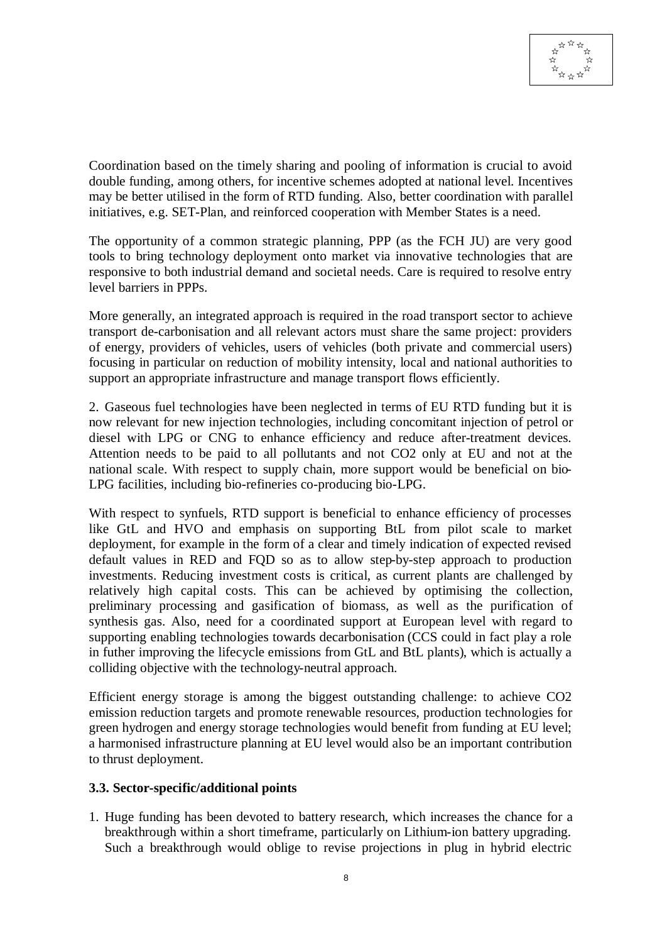

Coordination based on the timely sharing and pooling of information is crucial to avoid double funding, among others, for incentive schemes adopted at national level. Incentives may be better utilised in the form of RTD funding. Also, better coordination with parallel initiatives, e.g. SET-Plan, and reinforced cooperation with Member States is a need.

The opportunity of a common strategic planning, PPP (as the FCH JU) are very good tools to bring technology deployment onto market via innovative technologies that are responsive to both industrial demand and societal needs. Care is required to resolve entry level barriers in PPPs.

More generally, an integrated approach is required in the road transport sector to achieve transport de-carbonisation and all relevant actors must share the same project: providers of energy, providers of vehicles, users of vehicles (both private and commercial users) focusing in particular on reduction of mobility intensity, local and national authorities to support an appropriate infrastructure and manage transport flows efficiently.

2. Gaseous fuel technologies have been neglected in terms of EU RTD funding but it is now relevant for new injection technologies, including concomitant injection of petrol or diesel with LPG or CNG to enhance efficiency and reduce after-treatment devices. Attention needs to be paid to all pollutants and not CO2 only at EU and not at the national scale. With respect to supply chain, more support would be beneficial on bio-LPG facilities, including bio-refineries co-producing bio-LPG.

With respect to synfuels, RTD support is beneficial to enhance efficiency of processes like GtL and HVO and emphasis on supporting BtL from pilot scale to market deployment, for example in the form of a clear and timely indication of expected revised default values in RED and FQD so as to allow step-by-step approach to production investments. Reducing investment costs is critical, as current plants are challenged by relatively high capital costs. This can be achieved by optimising the collection, preliminary processing and gasification of biomass, as well as the purification of synthesis gas. Also, need for a coordinated support at European level with regard to supporting enabling technologies towards decarbonisation (CCS could in fact play a role in futher improving the lifecycle emissions from GtL and BtL plants), which is actually a colliding objective with the technology-neutral approach.

Efficient energy storage is among the biggest outstanding challenge: to achieve CO2 emission reduction targets and promote renewable resources, production technologies for green hydrogen and energy storage technologies would benefit from funding at EU level; a harmonised infrastructure planning at EU level would also be an important contribution to thrust deployment.

#### **3.3. Sector-specific/additional points**

1. Huge funding has been devoted to battery research, which increases the chance for a breakthrough within a short timeframe, particularly on Lithium-ion battery upgrading. Such a breakthrough would oblige to revise projections in plug in hybrid electric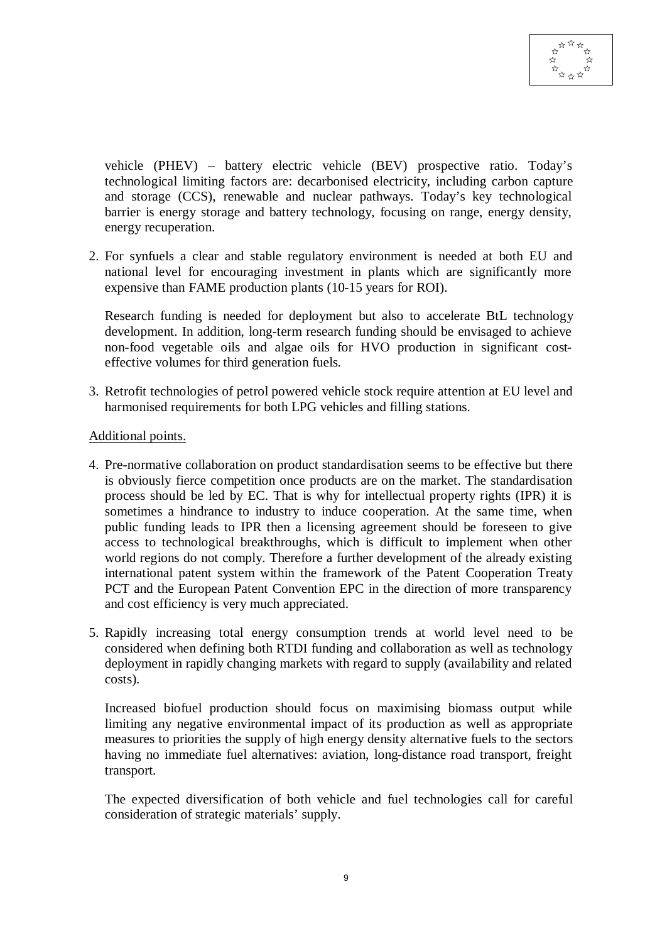vehicle (PHEV) – battery electric vehicle (BEV) prospective ratio. Today's technological limiting factors are: decarbonised electricity, including carbon capture and storage (CCS), renewable and nuclear pathways. Today's key technological barrier is energy storage and battery technology, focusing on range, energy density, energy recuperation.

2. For synfuels a clear and stable regulatory environment is needed at both EU and national level for encouraging investment in plants which are significantly more expensive than FAME production plants (10-15 years for ROI).

Research funding is needed for deployment but also to accelerate BtL technology development. In addition, long-term research funding should be envisaged to achieve non-food vegetable oils and algae oils for HVO production in significant costeffective volumes for third generation fuels.

3. Retrofit technologies of petrol powered vehicle stock require attention at EU level and harmonised requirements for both LPG vehicles and filling stations.

#### Additional points.

- 4. Pre-normative collaboration on product standardisation seems to be effective but there is obviously fierce competition once products are on the market. The standardisation process should be led by EC. That is why for intellectual property rights (IPR) it is sometimes a hindrance to industry to induce cooperation. At the same time, when public funding leads to IPR then a licensing agreement should be foreseen to give access to technological breakthroughs, which is difficult to implement when other world regions do not comply. Therefore a further development of the already existing international patent system within the framework of the Patent Cooperation Treaty PCT and the European Patent Convention EPC in the direction of more transparency and cost efficiency is very much appreciated.
- 5. Rapidly increasing total energy consumption trends at world level need to be considered when defining both RTDI funding and collaboration as well as technology deployment in rapidly changing markets with regard to supply (availability and related costs).

Increased biofuel production should focus on maximising biomass output while limiting any negative environmental impact of its production as well as appropriate measures to priorities the supply of high energy density alternative fuels to the sectors having no immediate fuel alternatives: aviation, long-distance road transport, freight transport.

The expected diversification of both vehicle and fuel technologies call for careful consideration of strategic materials' supply.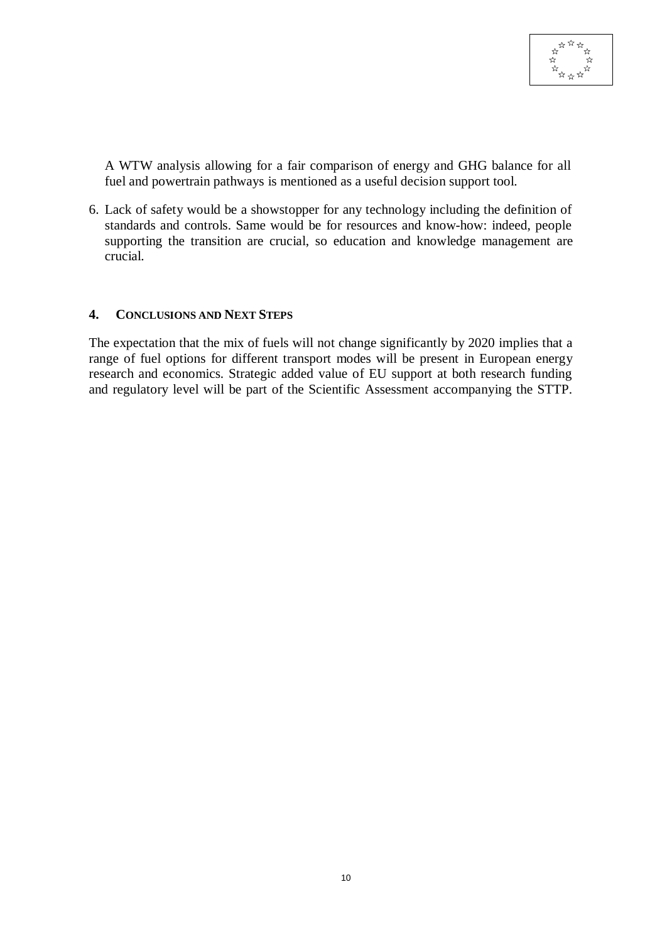

A WTW analysis allowing for a fair comparison of energy and GHG balance for all fuel and powertrain pathways is mentioned as a useful decision support tool.

6. Lack of safety would be a showstopper for any technology including the definition of standards and controls. Same would be for resources and know-how: indeed, people supporting the transition are crucial, so education and knowledge management are crucial.

#### **4. CONCLUSIONS AND NEXT STEPS**

The expectation that the mix of fuels will not change significantly by 2020 implies that a range of fuel options for different transport modes will be present in European energy research and economics. Strategic added value of EU support at both research funding and regulatory level will be part of the Scientific Assessment accompanying the STTP.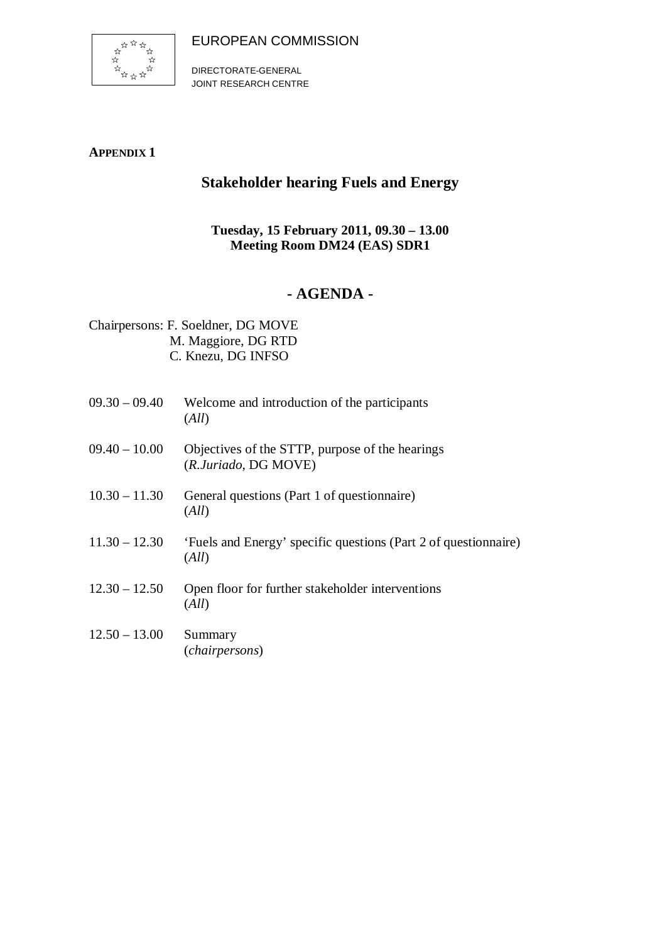EUROPEAN COMMISSION



DIRECTORATE-GENERAL JOINT RESEARCH CENTRE

### **APPENDIX 1**

# **Stakeholder hearing Fuels and Energy**

## **Tuesday, 15 February 2011, 09.30 – 13.00 Meeting Room DM24 (EAS) SDR1**

# **- AGENDA -**

Chairpersons: F. Soeldner, DG MOVE M. Maggiore, DG RTD C. Knezu, DG INFSO

| $09.30 - 09.40$ | Welcome and introduction of the participants<br>(All)                    |
|-----------------|--------------------------------------------------------------------------|
| $09.40 - 10.00$ | Objectives of the STTP, purpose of the hearings<br>(R.Juriado, DG MOVE)  |
| $10.30 - 11.30$ | General questions (Part 1 of questionnaire)<br>(All)                     |
| $11.30 - 12.30$ | 'Fuels and Energy' specific questions (Part 2 of questionnaire)<br>(All) |
| $12.30 - 12.50$ | Open floor for further stakeholder interventions<br>(All)                |
| $12.50 - 13.00$ | Summary<br>(chairpersons)                                                |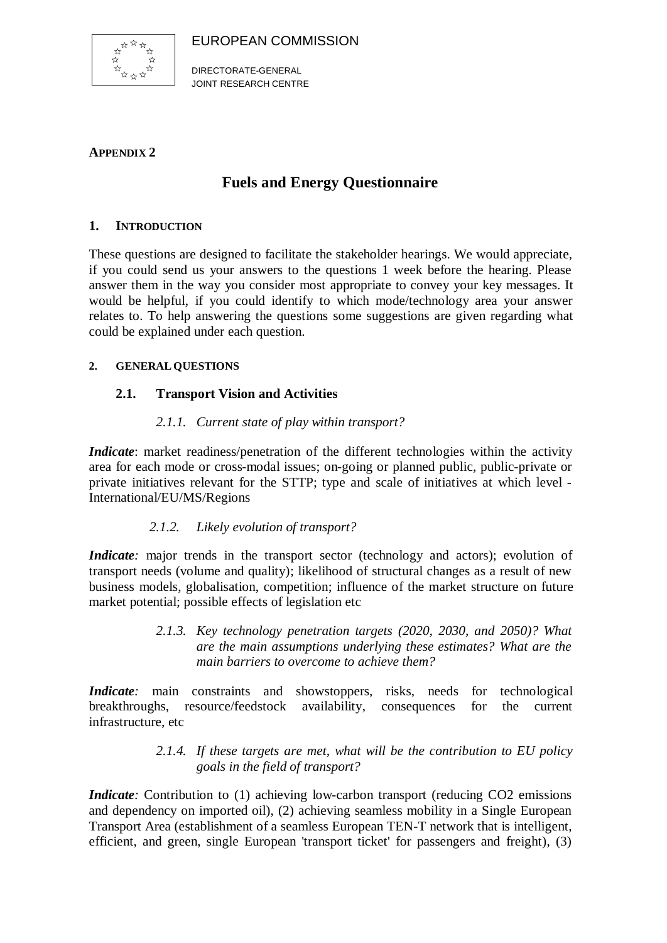EUROPEAN COMMISSION



DIRECTORATE-GENERAL JOINT RESEARCH CENTRE

#### **APPENDIX 2**

## **Fuels and Energy Questionnaire**

#### **1. INTRODUCTION**

These questions are designed to facilitate the stakeholder hearings. We would appreciate, if you could send us your answers to the questions 1 week before the hearing. Please answer them in the way you consider most appropriate to convey your key messages. It would be helpful, if you could identify to which mode/technology area your answer relates to. To help answering the questions some suggestions are given regarding what could be explained under each question.

#### **2. GENERALQUESTIONS**

### **2.1. Transport Vision and Activities**

#### *2.1.1. Current state of play within transport?*

*Indicate*: market readiness/penetration of the different technologies within the activity area for each mode or cross-modal issues; on-going or planned public, public-private or private initiatives relevant for the STTP; type and scale of initiatives at which level - International/EU/MS/Regions

### *2.1.2. Likely evolution of transport?*

*Indicate*: major trends in the transport sector (technology and actors); evolution of transport needs (volume and quality); likelihood of structural changes as a result of new business models, globalisation, competition; influence of the market structure on future market potential; possible effects of legislation etc

> *2.1.3. Key technology penetration targets (2020, 2030, and 2050)? What are the main assumptions underlying these estimates? What are the main barriers to overcome to achieve them?*

*Indicate*: main constraints and showstoppers, risks, needs for technological breakthroughs, resource/feedstock availability, consequences for the current infrastructure, etc

#### *2.1.4. If these targets are met, what will be the contribution to EU policy goals in the field of transport?*

*Indicate*: Contribution to (1) achieving low-carbon transport (reducing CO2 emissions and dependency on imported oil), (2) achieving seamless mobility in a Single European Transport Area (establishment of a seamless European TEN-T network that is intelligent, efficient, and green, single European 'transport ticket' for passengers and freight), (3)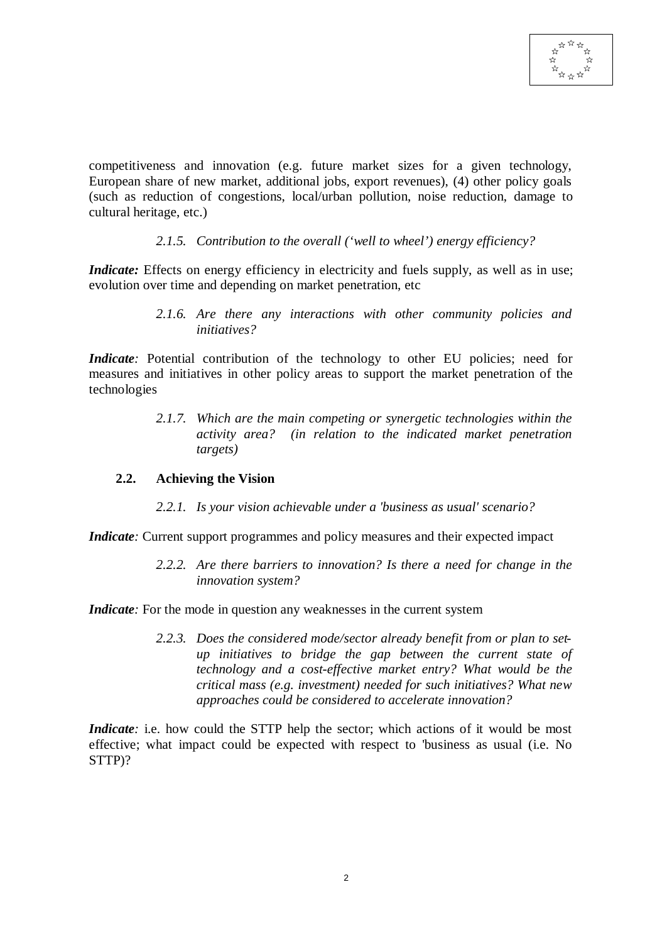competitiveness and innovation (e.g. future market sizes for a given technology, European share of new market, additional jobs, export revenues), (4) other policy goals (such as reduction of congestions, local/urban pollution, noise reduction, damage to cultural heritage, etc.)

#### *2.1.5. Contribution to the overall ('well to wheel') energy efficiency?*

*Indicate:* Effects on energy efficiency in electricity and fuels supply, as well as in use; evolution over time and depending on market penetration, etc

> *2.1.6. Are there any interactions with other community policies and initiatives?*

*Indicate*: Potential contribution of the technology to other EU policies; need for measures and initiatives in other policy areas to support the market penetration of the technologies

> *2.1.7. Which are the main competing or synergetic technologies within the activity area? (in relation to the indicated market penetration targets)*

#### **2.2. Achieving the Vision**

*2.2.1. Is your vision achievable under a 'business as usual' scenario?*

*Indicate*: Current support programmes and policy measures and their expected impact

*2.2.2. Are there barriers to innovation? Is there a need for change in the innovation system?*

*Indicate*: For the mode in question any weaknesses in the current system

*2.2.3. Does the considered mode/sector already benefit from or plan to setup initiatives to bridge the gap between the current state of technology and a cost-effective market entry? What would be the critical mass (e.g. investment) needed for such initiatives? What new approaches could be considered to accelerate innovation?*

*Indicate*: i.e. how could the STTP help the sector; which actions of it would be most effective; what impact could be expected with respect to 'business as usual (i.e. No STTP)?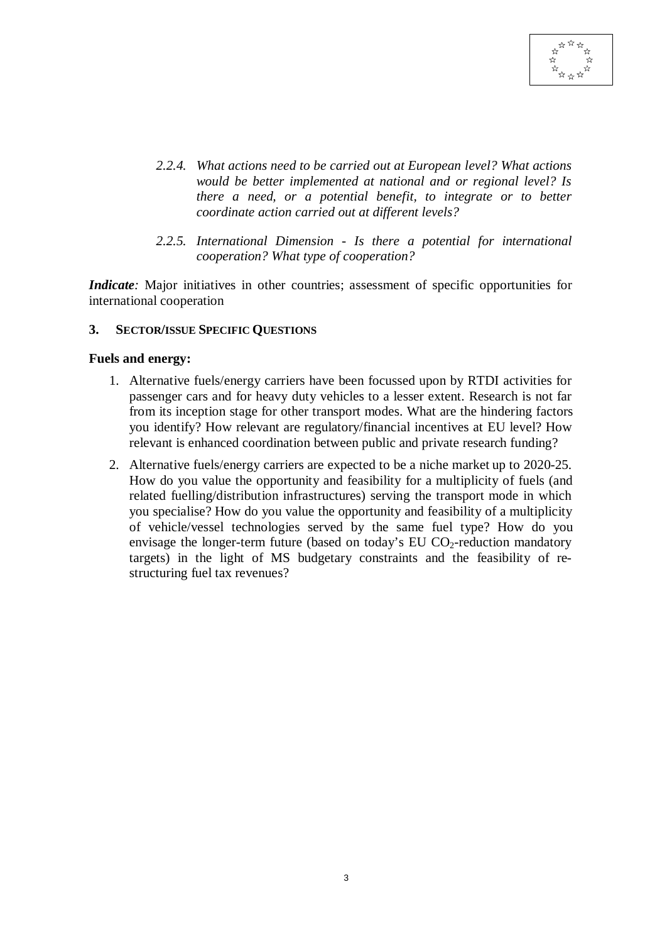

- *2.2.4. What actions need to be carried out at European level? What actions would be better implemented at national and or regional level? Is there a need, or a potential benefit, to integrate or to better coordinate action carried out at different levels?*
- *2.2.5. International Dimension Is there a potential for international cooperation? What type of cooperation?*

*Indicate*: Major initiatives in other countries; assessment of specific opportunities for international cooperation

#### **3. SECTOR/ISSUE SPECIFIC QUESTIONS**

#### **Fuels and energy:**

- 1. Alternative fuels/energy carriers have been focussed upon by RTDI activities for passenger cars and for heavy duty vehicles to a lesser extent. Research is not far from its inception stage for other transport modes. What are the hindering factors you identify? How relevant are regulatory/financial incentives at EU level? How relevant is enhanced coordination between public and private research funding?
- 2. Alternative fuels/energy carriers are expected to be a niche market up to 2020-25. How do you value the opportunity and feasibility for a multiplicity of fuels (and related fuelling/distribution infrastructures) serving the transport mode in which you specialise? How do you value the opportunity and feasibility of a multiplicity of vehicle/vessel technologies served by the same fuel type? How do you envisage the longer-term future (based on today's EU  $CO_2$ -reduction mandatory targets) in the light of MS budgetary constraints and the feasibility of restructuring fuel tax revenues?